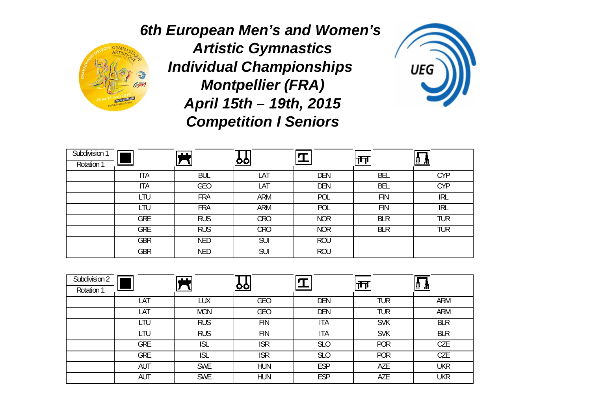

*6th European Men's and Women's Artistic Gymnastics Individual Championships Montpellier (FRA) April 15th – 19th, 2015 Competition I Seniors*



| Subdivision 1<br>Rotation 1 |            | <b>ALL</b> | <u>oo</u>  |            | ր ր        | W<br>ш     |
|-----------------------------|------------|------------|------------|------------|------------|------------|
|                             | <b>ITA</b> | <b>BUL</b> | LAT        | <b>DEN</b> | <b>BEL</b> | <b>CYP</b> |
|                             | <b>ITA</b> | <b>GEO</b> | LAT        | <b>DEN</b> | <b>BEL</b> | <b>CYP</b> |
|                             | LTU        | <b>FRA</b> | <b>ARM</b> | POL        | <b>FIN</b> | <b>IRL</b> |
|                             | LTU        | <b>FRA</b> | ARM        | POL        | <b>FIN</b> | <b>IRL</b> |
|                             | GRE        | <b>RUS</b> | <b>CRO</b> | <b>NOR</b> | <b>BLR</b> | <b>TUR</b> |
|                             | <b>GRE</b> | <b>RUS</b> | <b>CRO</b> | <b>NOR</b> | <b>BLR</b> | <b>TUR</b> |
|                             | <b>GBR</b> | <b>NED</b> | <b>SUI</b> | <b>ROU</b> |            |            |
|                             | <b>GBR</b> | <b>NED</b> | <b>SUI</b> | <b>ROU</b> |            |            |

| Subdivision 2<br>Rotation 1 |            | . .        | <u>100.</u> |                 |            | Ш          |
|-----------------------------|------------|------------|-------------|-----------------|------------|------------|
|                             | LAT        | LUX        | <b>GEO</b>  | <b>DEN</b>      | <b>TUR</b> | <b>ARM</b> |
|                             | LAT        | <b>MON</b> | <b>GEO</b>  | <b>DEN</b>      | <b>TUR</b> | ARM        |
|                             | LTU        | <b>RUS</b> | <b>FIN</b>  | <b>ITA</b>      | <b>SVK</b> | <b>BLR</b> |
|                             | LTU        | <b>RUS</b> | <b>FIN</b>  | <b>ITA</b>      | <b>SVK</b> | <b>BLR</b> |
|                             | <b>GRE</b> | <b>ISL</b> | <b>ISR</b>  | SL <sub>0</sub> | POR        | <b>CZE</b> |
|                             | <b>GRE</b> | <b>ISL</b> | <b>ISR</b>  | SL <sub>0</sub> | <b>POR</b> | <b>CZE</b> |
|                             | <b>AUT</b> | <b>SWE</b> | <b>HUN</b>  | <b>ESP</b>      | AZE        | <b>UKR</b> |
|                             | AUT        | <b>SWE</b> | <b>HUN</b>  | <b>ESP</b>      | AZE        | UKR        |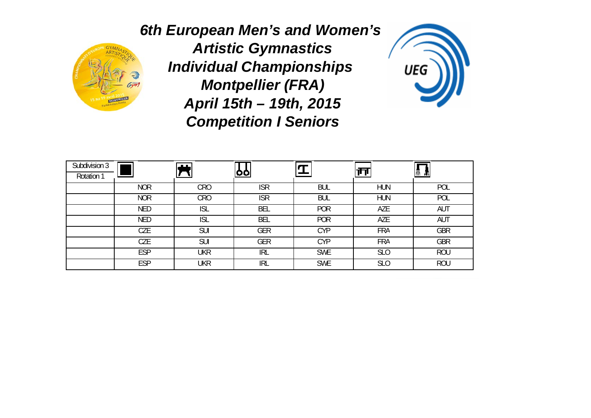

*6th European Men's and Women's Artistic Gymnastics Individual Championships Montpellier (FRA) April 15th – 19th, 2015 Competition I Seniors*



| Subdivision 3<br>Rotation 1 |            | $\mathbf{H}$ | <u>oo</u>  |            |            | Ш<br>ш     |
|-----------------------------|------------|--------------|------------|------------|------------|------------|
|                             | <b>NOR</b> | <b>CRO</b>   | <b>ISR</b> | <b>BUL</b> | <b>HUN</b> | POL        |
|                             | <b>NOR</b> | <b>CRO</b>   | <b>ISR</b> | <b>BUL</b> | <b>HUN</b> | POL        |
|                             | <b>NED</b> | <b>ISL</b>   | <b>BEL</b> | <b>POR</b> | AZE        | AUT        |
|                             | <b>NED</b> | <b>ISL</b>   | <b>BEL</b> | <b>POR</b> | AZE        | AUT        |
|                             | CZE        | <b>SUI</b>   | GER        | <b>CYP</b> | <b>FRA</b> | <b>GBR</b> |
|                             | CZE        | <b>SUI</b>   | <b>GER</b> | <b>CYP</b> | <b>FRA</b> | <b>GBR</b> |
|                             | <b>ESP</b> | <b>UKR</b>   | <b>IRL</b> | <b>SWE</b> | <b>SLO</b> | <b>ROU</b> |
|                             | <b>ESP</b> | <b>UKR</b>   | <b>IRL</b> | <b>SWE</b> | <b>SLO</b> | <b>ROU</b> |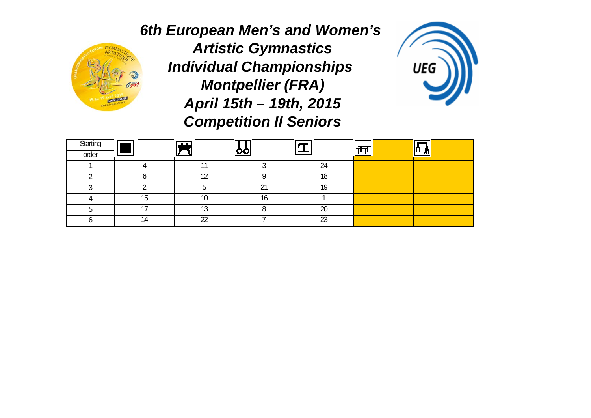

*6th European Men's and Women's Artistic Gymnastics Individual Championships Montpellier (FRA) April 15th – 19th, 2015 Competition II Seniors*



| Starting<br>order |    | ட்ட           |             |          |  |
|-------------------|----|---------------|-------------|----------|--|
|                   |    |               |             | 24       |  |
|                   |    | $\sim$        |             | 18       |  |
| ◠                 |    |               | $\sim$<br>∠ | 10       |  |
|                   | ∪ו | 10            |             |          |  |
|                   |    | $\sim$<br>ں ا |             | 20       |  |
|                   |    | $\cap$        |             | ົດ<br>∠ບ |  |